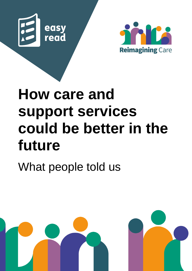



# **How care and support services could be better in the future**

What people told us

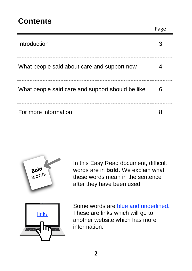#### **Contents**

| Introduction                                     |   |
|--------------------------------------------------|---|
| What people said about care and support now      |   |
| What people said care and support should be like | 6 |
| For more information                             |   |



In this Easy Read document, difficult words are in **bold**. We explain what these words mean in the sentence after they have been used.

Page



Some words are **blue and underlined.** These are links which will go to another website which has more information.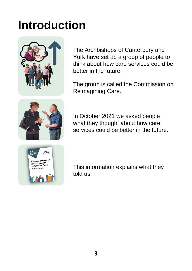### **Introduction**



The Archbishops of Canterbury and York have set up a group of people to think about how care services could be better in the future.

The group is called the Commission on Reimagining Care.



In October 2021 we asked people what they thought about how care services could be better in the future.



This information explains what they told us.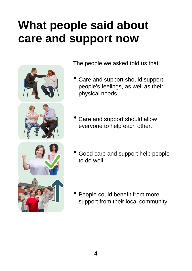#### **What people said about care and support now**



The people we asked told us that:

- Care and support should support people's feelings, as well as their physical needs.
- Care and support should allow everyone to help each other.
- Good care and support help people to do well.
- People could benefit from more support from their local community.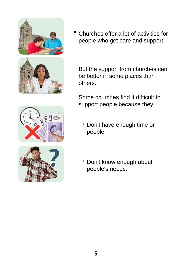

• Churches offer <sup>a</sup> lot of activities for people who get care and support.

But the support from churches can be better in some places than others.

Some churches find it difficult to support people because they:

- Don't have enough time or people.
- Don't know enough about people's needs.

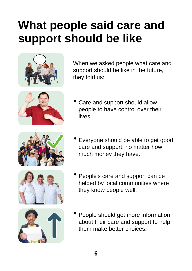### **What people said care and support should be like**



When we asked people what care and support should be like in the future, they told us:



Care and support should allow people to have control over their lives.



• Everyone should be able to get good care and support, no matter how much money they have.







People should get more information about their care and support to help them make better choices.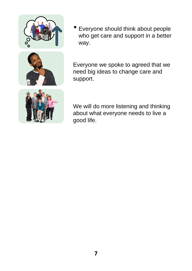



• Everyone should think about people who get care and support in a better way.

Everyone we spoke to agreed that we need big ideas to change care and support.

We will do more listening and thinking about what everyone needs to live a good life.